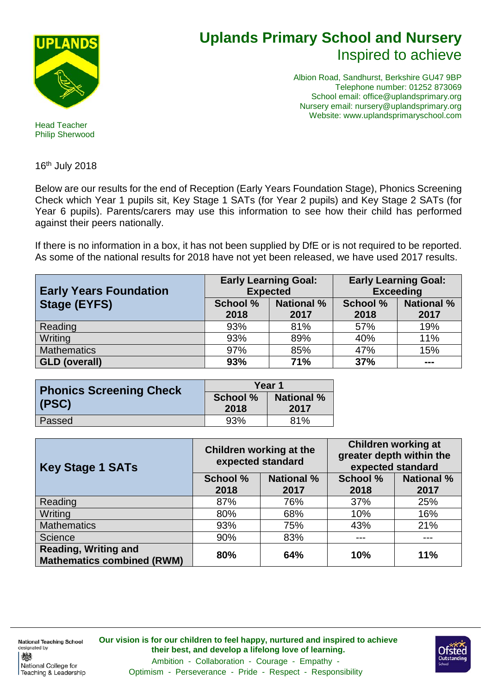

## **Uplands Primary School and Nursery** Inspired to achieve

Albion Road, Sandhurst, Berkshire GU47 9BP Telephone number: 01252 873069 School email: office@uplandsprimary.org Nursery email: nursery@uplandsprimary.org Website: www.uplandsprimaryschool.com

Head Teacher Philip Sherwood

16th July 2018

Below are our results for the end of Reception (Early Years Foundation Stage), Phonics Screening Check which Year 1 pupils sit, Key Stage 1 SATs (for Year 2 pupils) and Key Stage 2 SATs (for Year 6 pupils). Parents/carers may use this information to see how their child has performed against their peers nationally.

If there is no information in a box, it has not been supplied by DfE or is not required to be reported. As some of the national results for 2018 have not yet been released, we have used 2017 results.

| <b>Early Years Foundation</b> | <b>Early Learning Goal:</b><br><b>Expected</b> |                           | <b>Early Learning Goal:</b><br><b>Exceeding</b> |                           |
|-------------------------------|------------------------------------------------|---------------------------|-------------------------------------------------|---------------------------|
| <b>Stage (EYFS)</b>           | <b>School %</b><br>2018                        | <b>National %</b><br>2017 | <b>School %</b><br>2018                         | <b>National %</b><br>2017 |
|                               |                                                |                           |                                                 |                           |
| Reading                       | 93%                                            | 81%                       | 57%                                             | 19%                       |
| Writing                       | 93%                                            | 89%                       | 40%                                             | 11%                       |
| <b>Mathematics</b>            | 97%                                            | 85%                       | 47%                                             | 15%                       |
| <b>GLD (overall)</b>          | 93%                                            | 71%                       | 37%                                             | $- - -$                   |

| <b>Phonics Screening Check</b> | Year 1          |                   |  |
|--------------------------------|-----------------|-------------------|--|
|                                | <b>School %</b> | <b>National %</b> |  |
| (PSC)                          | 2018            | 2017              |  |
| Passed                         | 93%             | 81%               |  |

| <b>Key Stage 1 SATs</b>                                          | Children working at the<br>expected standard |                   | <b>Children working at</b><br>greater depth within the<br>expected standard |                   |
|------------------------------------------------------------------|----------------------------------------------|-------------------|-----------------------------------------------------------------------------|-------------------|
|                                                                  | <b>School %</b>                              | <b>National %</b> | School %                                                                    | <b>National %</b> |
|                                                                  | 2018                                         | 2017              | 2018                                                                        | 2017              |
| Reading                                                          | 87%                                          | 76%               | 37%                                                                         | 25%               |
| Writing                                                          | 80%                                          | 68%               | 10%                                                                         | 16%               |
| <b>Mathematics</b>                                               | 93%                                          | 75%               | 43%                                                                         | 21%               |
| Science                                                          | 90%                                          | 83%               |                                                                             | ---               |
| <b>Reading, Writing and</b><br><b>Mathematics combined (RWM)</b> | 80%                                          | 64%               | 10%                                                                         | 11%               |

**National Teaching School** designated by 戀 National College for Teaching & Leadership